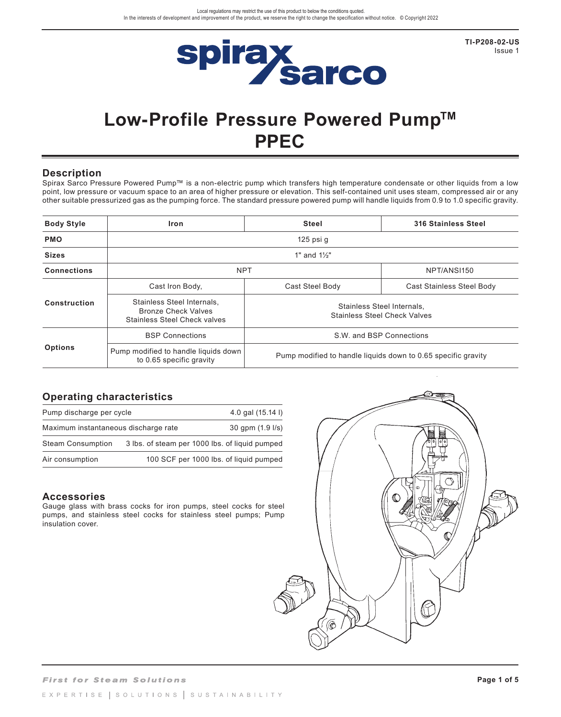

**TI-P208-02-US**  Issue 1

# **Low-Profile Pressure Powered Pump™ PPEC**

#### **Description**

Spirax Sarco Pressure Powered Pump™ is a non-electric pump which transfers high temperature condensate or other liquids from a low point, low pressure or vacuum space to an area of higher pressure or elevation. This self-contained unit uses steam, compressed air or any other suitable pressurized gas as the pumping force. The standard pressure powered pump will handle liquids from 0.9 to 1.0 specific gravity.

| <b>Body Style</b>  | Iron                                                                                            | <b>Steel</b>                                                      | <b>316 Stainless Steel</b> |  |  |  |  |  |  |  |  |  |
|--------------------|-------------------------------------------------------------------------------------------------|-------------------------------------------------------------------|----------------------------|--|--|--|--|--|--|--|--|--|
| <b>PMO</b>         | 125 psi g                                                                                       |                                                                   |                            |  |  |  |  |  |  |  |  |  |
| <b>Sizes</b>       | 1" and $1\frac{1}{2}$ "                                                                         |                                                                   |                            |  |  |  |  |  |  |  |  |  |
| <b>Connections</b> | <b>NPT</b>                                                                                      | NPT/ANSI150                                                       |                            |  |  |  |  |  |  |  |  |  |
|                    | Cast Iron Body,                                                                                 | Cast Steel Body                                                   | Cast Stainless Steel Body  |  |  |  |  |  |  |  |  |  |
| Construction       | Stainless Steel Internals.<br><b>Bronze Check Valves</b><br><b>Stainless Steel Check valves</b> | Stainless Steel Internals,<br><b>Stainless Steel Check Valves</b> |                            |  |  |  |  |  |  |  |  |  |
|                    | <b>BSP Connections</b>                                                                          | S.W. and BSP Connections                                          |                            |  |  |  |  |  |  |  |  |  |
| <b>Options</b>     | Pump modified to handle liquids down<br>to 0.65 specific gravity                                | Pump modified to handle liquids down to 0.65 specific gravity     |                            |  |  |  |  |  |  |  |  |  |

## **Operating characteristics**

| Pump discharge per cycle             | 4.0 gal (15.14 l)                              |
|--------------------------------------|------------------------------------------------|
| Maximum instantaneous discharge rate | $30$ qpm $(1.9 \text{ l/s})$                   |
| <b>Steam Consumption</b>             | 3 lbs. of steam per 1000 lbs. of liquid pumped |
| Air consumption                      | 100 SCF per 1000 lbs. of liquid pumped         |

#### **Accessories**

Gauge glass with brass cocks for iron pumps, steel cocks for steel pumps, and stainless steel cocks for stainless steel pumps; Pump insulation cover.

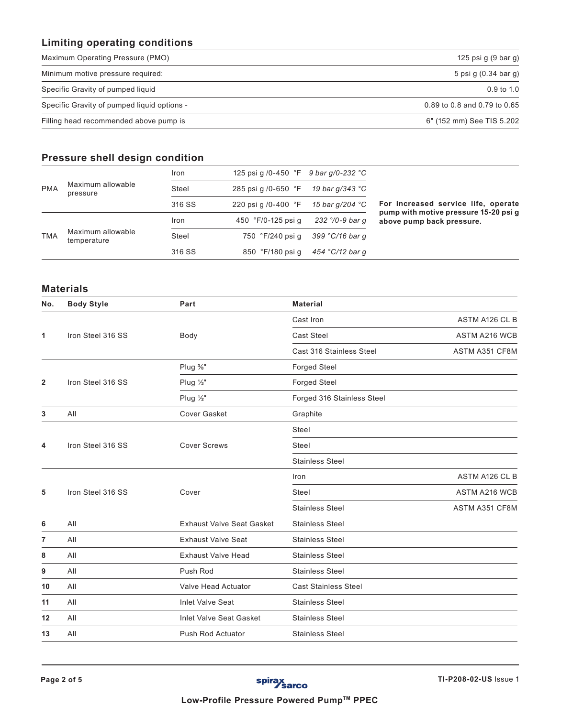## **Limiting operating conditions**

| Maximum Operating Pressure (PMO)            | 125 psi g (9 bar g)          |
|---------------------------------------------|------------------------------|
| Minimum motive pressure required:           | 5 psi g (0.34 bar g)         |
| Specific Gravity of pumped liquid           | $0.9 \text{ to } 1.0$        |
| Specific Gravity of pumped liquid options - | 0.89 to 0.8 and 0.79 to 0.65 |
| Filling head recommended above pump is      | 6" (152 mm) See TIS 5.202    |

## **Pressure shell design condition**

| <b>PMA</b> |                                  | <b>Iron</b> | 125 psi q /0-450 $\degree$ F 9 bar q/0-232 $\degree$ C |                 |                                                                    |
|------------|----------------------------------|-------------|--------------------------------------------------------|-----------------|--------------------------------------------------------------------|
|            | Maximum allowable<br>pressure    | Steel       | 285 psi g /0-650 °F                                    | 19 bar q/343 °C |                                                                    |
|            |                                  | 316 SS      | 220 psi g /0-400 $\degree$ F                           | 15 bar q/204 °C | For increased service life, operate                                |
| <b>TMA</b> |                                  | Iron        | 450 °F/0-125 psi q                                     | 232 °/0-9 bar q | pump with motive pressure 15-20 psi q<br>above pump back pressure. |
|            | Maximum allowable<br>temperature | Steel       | 750 °F/240 psi q                                       | 399 °C/16 bar q |                                                                    |
|            |                                  | 316 SS      | 850 °F/180 psi q                                       | 454 °C/12 bar q |                                                                    |

#### **Materials**

| No.                     | <b>Body Style</b> | Part                             | <b>Material</b>             |                      |
|-------------------------|-------------------|----------------------------------|-----------------------------|----------------------|
|                         |                   |                                  | Cast Iron                   | ASTM A126 CL B       |
| 1                       | Iron Steel 316 SS | Body                             | <b>Cast Steel</b>           | ASTM A216 WCB        |
|                         |                   |                                  | Cast 316 Stainless Steel    | ASTM A351 CF8M       |
|                         |                   | Plug %"                          | <b>Forged Steel</b>         |                      |
| $\overline{\mathbf{2}}$ | Iron Steel 316 SS | Plug 1/2"                        | Forged Steel                |                      |
|                         |                   | Plug $\frac{1}{2}$ "             | Forged 316 Stainless Steel  |                      |
| 3                       | All               | <b>Cover Gasket</b>              | Graphite                    |                      |
|                         |                   |                                  | Steel                       |                      |
| 4                       | Iron Steel 316 SS | <b>Cover Screws</b>              | Steel                       |                      |
|                         |                   |                                  | <b>Stainless Steel</b>      |                      |
|                         |                   |                                  | Iron                        | ASTM A126 CL B       |
| 5                       | Iron Steel 316 SS | Cover                            | <b>Steel</b>                | <b>ASTM A216 WCB</b> |
|                         |                   |                                  | <b>Stainless Steel</b>      | ASTM A351 CF8M       |
| 6                       | All               | <b>Exhaust Valve Seat Gasket</b> | <b>Stainless Steel</b>      |                      |
| 7                       | All               | <b>Exhaust Valve Seat</b>        | <b>Stainless Steel</b>      |                      |
| 8                       | All               | <b>Exhaust Valve Head</b>        | <b>Stainless Steel</b>      |                      |
| 9                       | All               | Push Rod                         | <b>Stainless Steel</b>      |                      |
| 10                      | All               | Valve Head Actuator              | <b>Cast Stainless Steel</b> |                      |
| 11                      | All               | <b>Inlet Valve Seat</b>          | <b>Stainless Steel</b>      |                      |
| 12                      | All               | <b>Inlet Valve Seat Gasket</b>   | <b>Stainless Steel</b>      |                      |
| 13                      | All               | <b>Push Rod Actuator</b>         | <b>Stainless Steel</b>      |                      |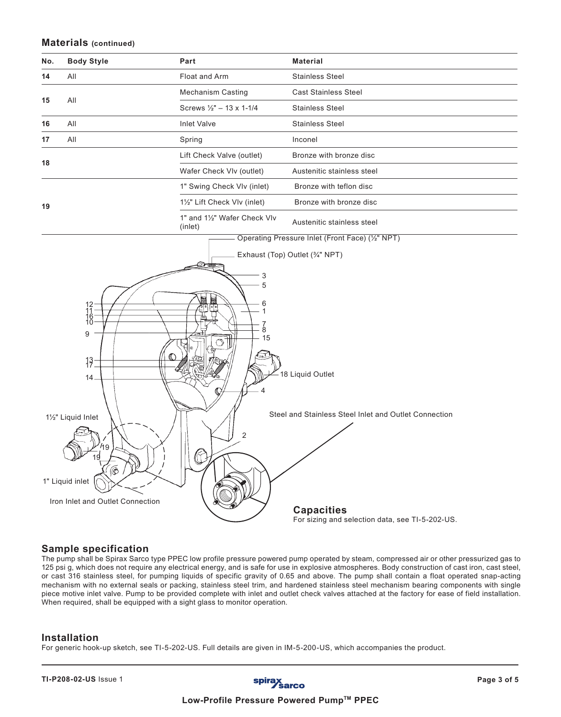#### **Materials (continued)**

| No. | <b>Body Style</b>                                                                                                                                                    | Part                                                                            | <b>Material</b>                                                           |
|-----|----------------------------------------------------------------------------------------------------------------------------------------------------------------------|---------------------------------------------------------------------------------|---------------------------------------------------------------------------|
| 14  | All                                                                                                                                                                  | Float and Arm                                                                   | <b>Stainless Steel</b>                                                    |
| 15  | All                                                                                                                                                                  | <b>Mechanism Casting</b>                                                        | <b>Cast Stainless Steel</b>                                               |
|     |                                                                                                                                                                      | Screws $\frac{1}{2}$ " - 13 x 1-1/4                                             | <b>Stainless Steel</b>                                                    |
| 16  | All                                                                                                                                                                  | <b>Inlet Valve</b>                                                              | <b>Stainless Steel</b>                                                    |
| 17  | All                                                                                                                                                                  | Spring                                                                          | Inconel                                                                   |
| 18  |                                                                                                                                                                      | Lift Check Valve (outlet)                                                       | Bronze with bronze disc                                                   |
|     |                                                                                                                                                                      | Wafer Check VIv (outlet)                                                        | Austenitic stainless steel                                                |
|     |                                                                                                                                                                      | 1" Swing Check VIv (inlet)                                                      | Bronze with teflon disc                                                   |
| 19  |                                                                                                                                                                      | 1½" Lift Check VIv (inlet)                                                      | Bronze with bronze disc                                                   |
|     |                                                                                                                                                                      | 1" and 11/2" Wafer Check VIv<br>(inlet)                                         | Austenitic stainless steel                                                |
|     |                                                                                                                                                                      |                                                                                 | Operating Pressure Inlet (Front Face) (1/2" NPT)                          |
|     | $\begin{array}{c} 12 \\ 11 \\ 16 \\ 10 \end{array}$<br>9<br>$13 -$<br>$14 -$<br>11/2" Liquid Inlet<br>19<br>۵<br>1" Liquid inlet<br>Iron Inlet and Outlet Connection | 3<br>5<br>6<br>1<br>$\frac{7}{8}$<br>15<br>$\circlearrowleft$<br>$\overline{2}$ | 18 Liquid Outlet<br>Steel and Stainless Steel Inlet and Outlet Connection |
|     |                                                                                                                                                                      |                                                                                 | <b>Capacities</b><br>For sizing and selection data, see TI-5-202-US.      |

### **Sample specification**

The pump shall be Spirax Sarco type PPEC low profile pressure powered pump operated by steam, compressed air or other pressurized gas to 125 psi g, which does not require any electrical energy, and is safe for use in explosive atmospheres. Body construction of cast iron, cast steel, or cast 316 stainless steel, for pumping liquids of specific gravity of 0.65 and above. The pump shall contain a float operated snap-acting mechanism with no external seals or packing, stainless steel trim, and hardened stainless steel mechanism bearing components with single piece motive inlet valve. Pump to be provided complete with inlet and outlet check valves attached at the factory for ease of field installation. When required, shall be equipped with a sight glass to monitor operation.

#### **Installation**

For generic hook-up sketch, see TI-5-202-US. Full details are given in IM-5-200-US, which accompanies the product.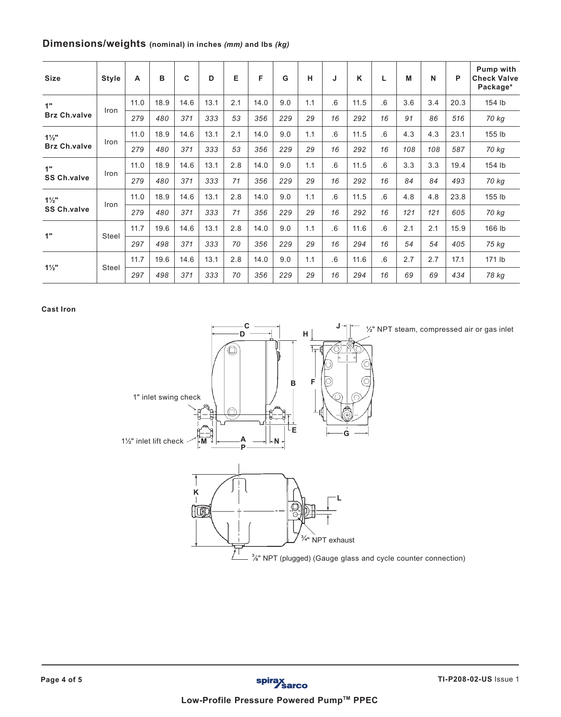## **Dimensions/weights (nominal) in inches** *(mm)* **and lbs** *(kg)*

| <b>Size</b>         | <b>Style</b> | A    | B    | C    | D    | Е   | F    | G   | н   |    | K    | L   | M   | N   | P    | Pump with<br><b>Check Valve</b><br>Package* |
|---------------------|--------------|------|------|------|------|-----|------|-----|-----|----|------|-----|-----|-----|------|---------------------------------------------|
| 1"                  |              | 11.0 | 18.9 | 14.6 | 13.1 | 2.1 | 14.0 | 9.0 | 1.1 | .6 | 11.5 | 6.6 | 3.6 | 3.4 | 20.3 | 154 lb                                      |
| <b>Brz Ch.valve</b> | Iron         | 279  | 480  | 371  | 333  | 53  | 356  | 229 | 29  | 16 | 292  | 16  | 91  | 86  | 516  | 70 kg                                       |
| $1\frac{1}{2}$      |              | 11.0 | 18.9 | 14.6 | 13.1 | 2.1 | 14.0 | 9.0 | 1.1 | .6 | 11.5 | .6  | 4.3 | 4.3 | 23.1 | 155 lb                                      |
| <b>Brz Ch.valve</b> | Iron         | 279  | 480  | 371  | 333  | 53  | 356  | 229 | 29  | 16 | 292  | 16  | 108 | 108 | 587  | 70 kg                                       |
| 1"                  | Iron         | 11.0 | 18.9 | 14.6 | 13.1 | 2.8 | 14.0 | 9.0 | 1.1 | .6 | 11.5 | .6  | 3.3 | 3.3 | 19.4 | 154 lb                                      |
| <b>SS Ch.valve</b>  |              | 279  | 480  | 371  | 333  | 71  | 356  | 229 | 29  | 16 | 292  | 16  | 84  | 84  | 493  | 70 kg                                       |
| $1\frac{1}{2}$ "    | Iron         | 11.0 | 18.9 | 14.6 | 13.1 | 2.8 | 14.0 | 9.0 | 1.1 | .6 | 11.5 | .6  | 4.8 | 4.8 | 23.8 | 155 lb                                      |
| <b>SS Ch.valve</b>  |              | 279  | 480  | 371  | 333  | 71  | 356  | 229 | 29  | 16 | 292  | 16  | 121 | 121 | 605  | 70 kg                                       |
| 1"                  | Steel        | 11.7 | 19.6 | 14.6 | 13.1 | 2.8 | 14.0 | 9.0 | 1.1 | .6 | 11.6 | 6   | 2.1 | 2.1 | 15.9 | 166 lb                                      |
|                     |              | 297  | 498  | 371  | 333  | 70  | 356  | 229 | 29  | 16 | 294  | 16  | 54  | 54  | 405  | 75 kg                                       |
| $1\frac{1}{2}$ "    |              | 11.7 | 19.6 | 14.6 | 13.1 | 2.8 | 14.0 | 9.0 | 1.1 | .6 | 11.6 | 6   | 2.7 | 2.7 | 17.1 | 171 lb                                      |
|                     | <b>Steel</b> | 297  | 498  | 371  | 333  | 70  | 356  | 229 | 29  | 16 | 294  | 16  | 69  | 69  | 434  | 78 kg                                       |

**Cast Iron**



½" NPT steam, compressed air or gas inlet

 $3/$ s" NPT (plugged) (Gauge glass and cycle counter connection)